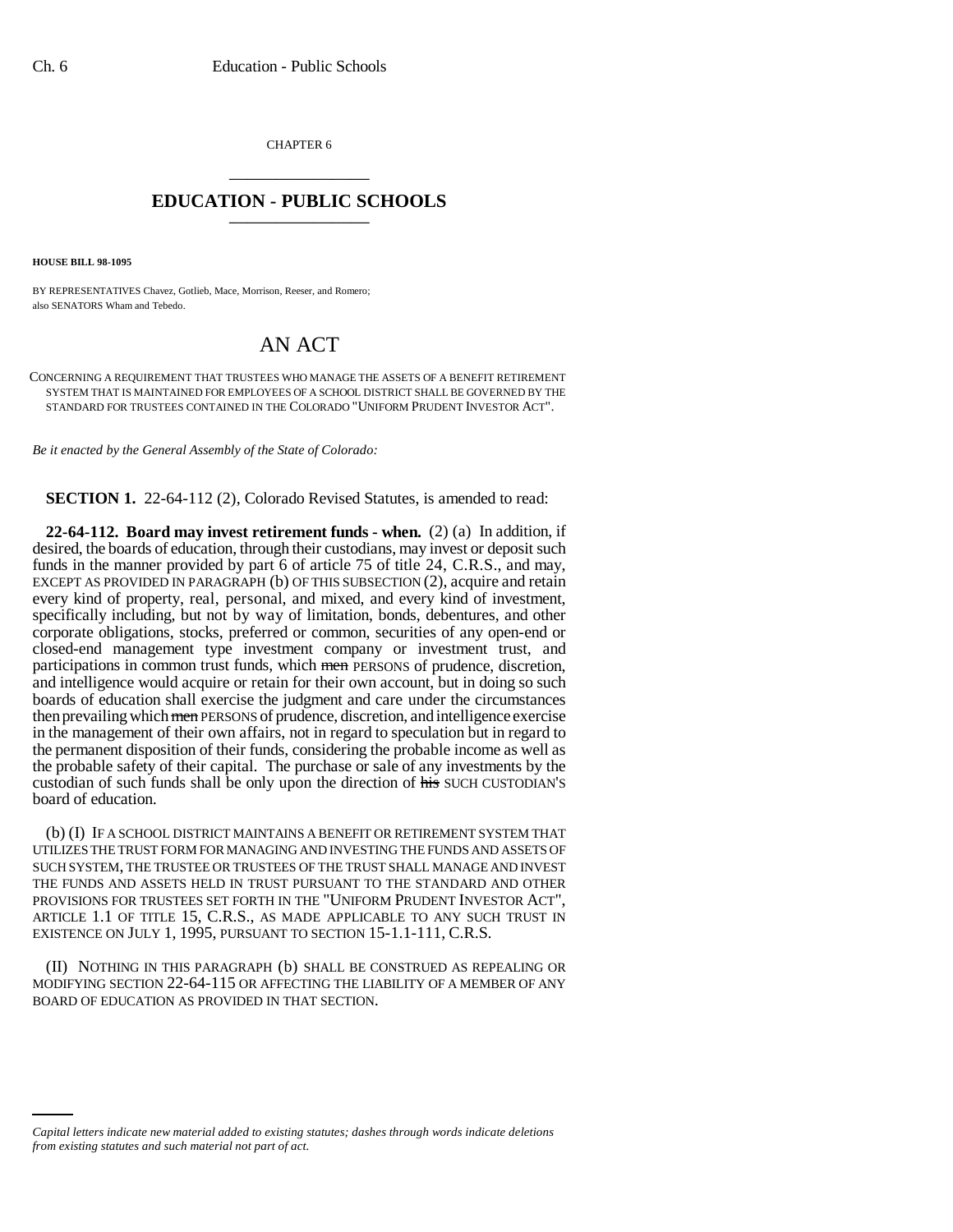CHAPTER 6 \_\_\_\_\_\_\_\_\_\_\_\_\_\_\_

## **EDUCATION - PUBLIC SCHOOLS** \_\_\_\_\_\_\_\_\_\_\_\_\_\_\_

**HOUSE BILL 98-1095**

BY REPRESENTATIVES Chavez, Gotlieb, Mace, Morrison, Reeser, and Romero; also SENATORS Wham and Tebedo.

## AN ACT

CONCERNING A REQUIREMENT THAT TRUSTEES WHO MANAGE THE ASSETS OF A BENEFIT RETIREMENT SYSTEM THAT IS MAINTAINED FOR EMPLOYEES OF A SCHOOL DISTRICT SHALL BE GOVERNED BY THE STANDARD FOR TRUSTEES CONTAINED IN THE COLORADO "UNIFORM PRUDENT INVESTOR ACT".

*Be it enacted by the General Assembly of the State of Colorado:*

**SECTION 1.** 22-64-112 (2), Colorado Revised Statutes, is amended to read:

**22-64-112. Board may invest retirement funds - when.** (2) (a) In addition, if desired, the boards of education, through their custodians, may invest or deposit such funds in the manner provided by part 6 of article 75 of title 24, C.R.S., and may, EXCEPT AS PROVIDED IN PARAGRAPH (b) OF THIS SUBSECTION (2), acquire and retain every kind of property, real, personal, and mixed, and every kind of investment, specifically including, but not by way of limitation, bonds, debentures, and other corporate obligations, stocks, preferred or common, securities of any open-end or closed-end management type investment company or investment trust, and participations in common trust funds, which men PERSONS of prudence, discretion, and intelligence would acquire or retain for their own account, but in doing so such boards of education shall exercise the judgment and care under the circumstances then prevailing which men PERSONS of prudence, discretion, and intelligence exercise in the management of their own affairs, not in regard to speculation but in regard to the permanent disposition of their funds, considering the probable income as well as the probable safety of their capital. The purchase or sale of any investments by the custodian of such funds shall be only upon the direction of his SUCH CUSTODIAN'S board of education.

(b) (I) IF A SCHOOL DISTRICT MAINTAINS A BENEFIT OR RETIREMENT SYSTEM THAT UTILIZES THE TRUST FORM FOR MANAGING AND INVESTING THE FUNDS AND ASSETS OF SUCH SYSTEM, THE TRUSTEE OR TRUSTEES OF THE TRUST SHALL MANAGE AND INVEST THE FUNDS AND ASSETS HELD IN TRUST PURSUANT TO THE STANDARD AND OTHER PROVISIONS FOR TRUSTEES SET FORTH IN THE "UNIFORM PRUDENT INVESTOR ACT", ARTICLE 1.1 OF TITLE 15, C.R.S., AS MADE APPLICABLE TO ANY SUCH TRUST IN EXISTENCE ON JULY 1, 1995, PURSUANT TO SECTION 15-1.1-111, C.R.S.

(II) NOTHING IN THIS PARAGRAPH (b) SHALL BE CONSTRUED AS REPEALING OR MODIFYING SECTION 22-64-115 OR AFFECTING THE LIABILITY OF A MEMBER OF ANY BOARD OF EDUCATION AS PROVIDED IN THAT SECTION.

*Capital letters indicate new material added to existing statutes; dashes through words indicate deletions from existing statutes and such material not part of act.*